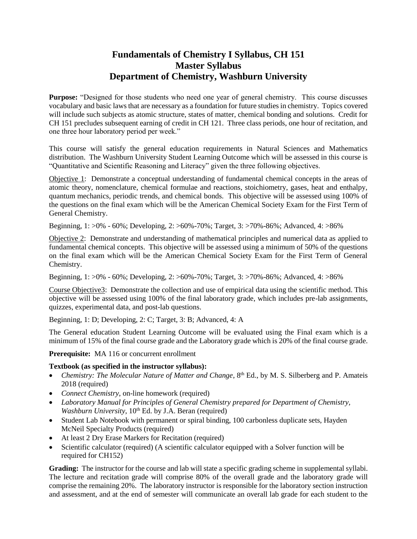## **Fundamentals of Chemistry I Syllabus, CH 151 Master Syllabus Department of Chemistry, Washburn University**

Purpose: "Designed for those students who need one year of general chemistry. This course discusses vocabulary and basic laws that are necessary as a foundation for future studies in chemistry. Topics covered will include such subjects as atomic structure, states of matter, chemical bonding and solutions. Credit for CH 151 precludes subsequent earning of credit in CH 121. Three class periods, one hour of recitation, and one three hour laboratory period per week."

This course will satisfy the general education requirements in Natural Sciences and Mathematics distribution. The Washburn University Student Learning Outcome which will be assessed in this course is "Quantitative and Scientific Reasoning and Literacy" given the three following objectives.

Objective 1: Demonstrate a conceptual understanding of fundamental chemical concepts in the areas of atomic theory, nomenclature, chemical formulae and reactions, stoichiometry, gases, heat and enthalpy, quantum mechanics, periodic trends, and chemical bonds. This objective will be assessed using 100% of the questions on the final exam which will be the American Chemical Society Exam for the First Term of General Chemistry.

Beginning, 1: >0% - 60%; Developing, 2: >60%-70%; Target, 3: >70%-86%; Advanced, 4: >86%

Objective 2: Demonstrate and understanding of mathematical principles and numerical data as applied to fundamental chemical concepts. This objective will be assessed using a minimum of 50% of the questions on the final exam which will be the American Chemical Society Exam for the First Term of General Chemistry.

Beginning, 1: >0% - 60%; Developing, 2: >60%-70%; Target, 3: >70%-86%; Advanced, 4: >86%

Course Objective3: Demonstrate the collection and use of empirical data using the scientific method. This objective will be assessed using 100% of the final laboratory grade, which includes pre-lab assignments, quizzes, experimental data, and post-lab questions.

Beginning, 1: D; Developing, 2: C; Target, 3: B; Advanced, 4: A

The General education Student Learning Outcome will be evaluated using the Final exam which is a minimum of 15% of the final course grade and the Laboratory grade which is 20% of the final course grade.

**Prerequisite:** MA 116 or concurrent enrollment

## **Textbook (as specified in the instructor syllabus):**

- Chemistry: The Molecular Nature of Matter and Change, 8<sup>th</sup> Ed., by M. S. Silberberg and P. Amateis 2018 (required)
- *Connect Chemistry*, on-line homework (required)
- *Laboratory Manual for Principles of General Chemistry prepared for Department of Chemistry, Washburn University*, 10<sup>th</sup> Ed. by J.A. Beran (required)
- Student Lab Notebook with permanent or spiral binding, 100 carbonless duplicate sets, Hayden McNeil Specialty Products (required)
- At least 2 Dry Erase Markers for Recitation (required)
- Scientific calculator (required) (A scientific calculator equipped with a Solver function will be required for CH152)

**Grading:** The instructor for the course and lab will state a specific grading scheme in supplemental syllabi. The lecture and recitation grade will comprise 80% of the overall grade and the laboratory grade will comprise the remaining 20%. The laboratory instructor is responsible for the laboratory section instruction and assessment, and at the end of semester will communicate an overall lab grade for each student to the